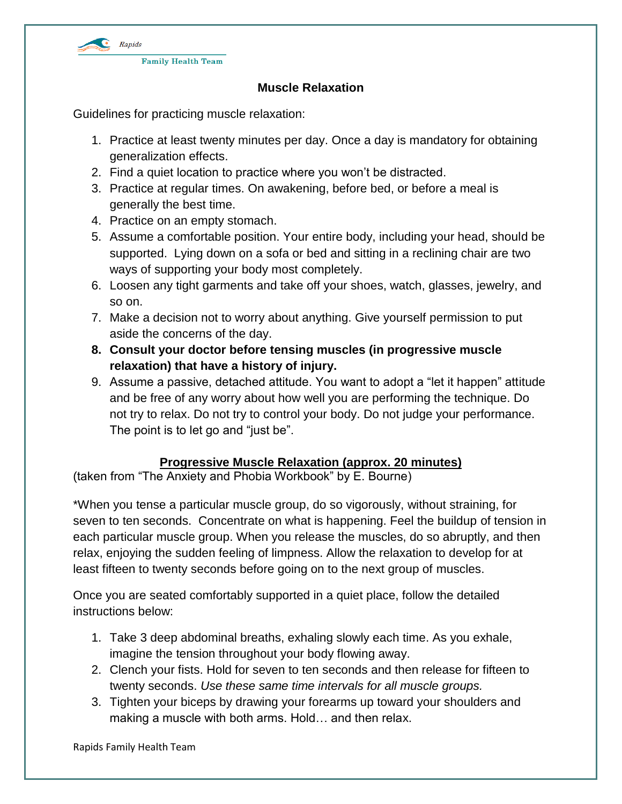

## **Muscle Relaxation**

Guidelines for practicing muscle relaxation:

- 1. Practice at least twenty minutes per day. Once a day is mandatory for obtaining generalization effects.
- 2. Find a quiet location to practice where you won't be distracted.
- 3. Practice at regular times. On awakening, before bed, or before a meal is generally the best time.
- 4. Practice on an empty stomach.
- 5. Assume a comfortable position. Your entire body, including your head, should be supported. Lying down on a sofa or bed and sitting in a reclining chair are two ways of supporting your body most completely.
- 6. Loosen any tight garments and take off your shoes, watch, glasses, jewelry, and so on.
- 7. Make a decision not to worry about anything. Give yourself permission to put aside the concerns of the day.
- **8. Consult your doctor before tensing muscles (in progressive muscle relaxation) that have a history of injury.**
- 9. Assume a passive, detached attitude. You want to adopt a "let it happen" attitude and be free of any worry about how well you are performing the technique. Do not try to relax. Do not try to control your body. Do not judge your performance. The point is to let go and "just be".

## **Progressive Muscle Relaxation (approx. 20 minutes)**

(taken from "The Anxiety and Phobia Workbook" by E. Bourne)

\*When you tense a particular muscle group, do so vigorously, without straining, for seven to ten seconds. Concentrate on what is happening. Feel the buildup of tension in each particular muscle group. When you release the muscles, do so abruptly, and then relax, enjoying the sudden feeling of limpness. Allow the relaxation to develop for at least fifteen to twenty seconds before going on to the next group of muscles.

Once you are seated comfortably supported in a quiet place, follow the detailed instructions below:

- 1. Take 3 deep abdominal breaths, exhaling slowly each time. As you exhale, imagine the tension throughout your body flowing away.
- 2. Clench your fists. Hold for seven to ten seconds and then release for fifteen to twenty seconds. *Use these same time intervals for all muscle groups.*
- 3. Tighten your biceps by drawing your forearms up toward your shoulders and making a muscle with both arms. Hold… and then relax.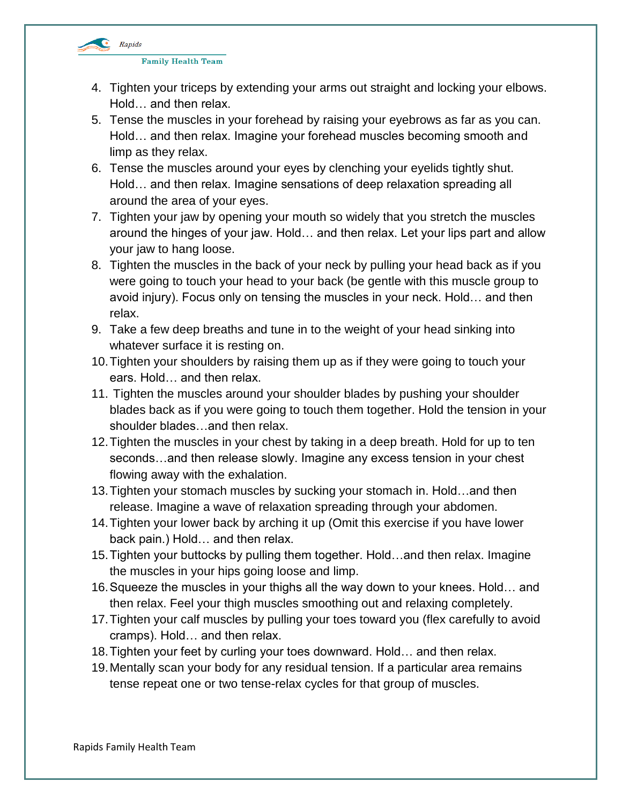

**Family Health Team** 

- 4. Tighten your triceps by extending your arms out straight and locking your elbows. Hold… and then relax.
- 5. Tense the muscles in your forehead by raising your eyebrows as far as you can. Hold… and then relax. Imagine your forehead muscles becoming smooth and limp as they relax.
- 6. Tense the muscles around your eyes by clenching your eyelids tightly shut. Hold… and then relax. Imagine sensations of deep relaxation spreading all around the area of your eyes.
- 7. Tighten your jaw by opening your mouth so widely that you stretch the muscles around the hinges of your jaw. Hold… and then relax. Let your lips part and allow your jaw to hang loose.
- 8. Tighten the muscles in the back of your neck by pulling your head back as if you were going to touch your head to your back (be gentle with this muscle group to avoid injury). Focus only on tensing the muscles in your neck. Hold… and then relax.
- 9. Take a few deep breaths and tune in to the weight of your head sinking into whatever surface it is resting on.
- 10.Tighten your shoulders by raising them up as if they were going to touch your ears. Hold… and then relax.
- 11. Tighten the muscles around your shoulder blades by pushing your shoulder blades back as if you were going to touch them together. Hold the tension in your shoulder blades…and then relax.
- 12.Tighten the muscles in your chest by taking in a deep breath. Hold for up to ten seconds…and then release slowly. Imagine any excess tension in your chest flowing away with the exhalation.
- 13.Tighten your stomach muscles by sucking your stomach in. Hold…and then release. Imagine a wave of relaxation spreading through your abdomen.
- 14.Tighten your lower back by arching it up (Omit this exercise if you have lower back pain.) Hold… and then relax.
- 15.Tighten your buttocks by pulling them together. Hold…and then relax. Imagine the muscles in your hips going loose and limp.
- 16.Squeeze the muscles in your thighs all the way down to your knees. Hold… and then relax. Feel your thigh muscles smoothing out and relaxing completely.
- 17.Tighten your calf muscles by pulling your toes toward you (flex carefully to avoid cramps). Hold… and then relax.
- 18.Tighten your feet by curling your toes downward. Hold… and then relax.
- 19.Mentally scan your body for any residual tension. If a particular area remains tense repeat one or two tense-relax cycles for that group of muscles.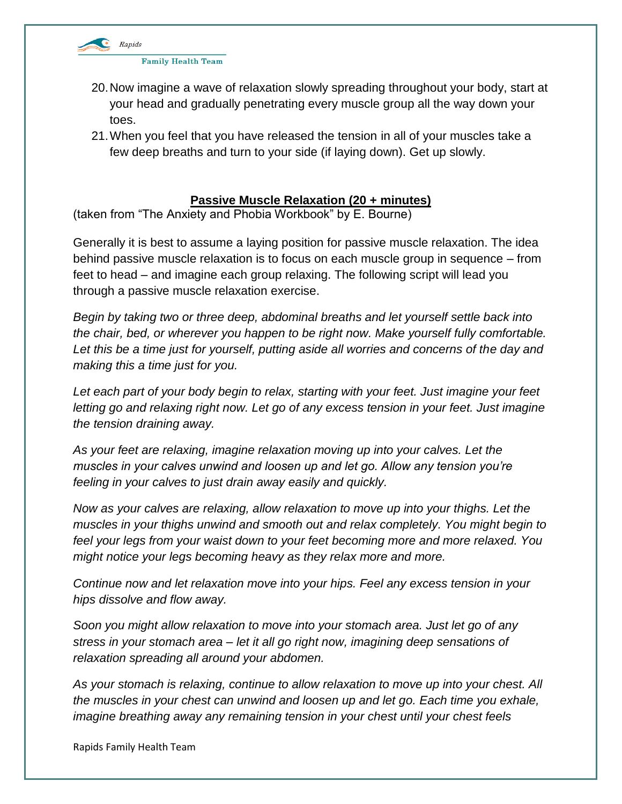

**Family Health Team** 

- 20.Now imagine a wave of relaxation slowly spreading throughout your body, start at your head and gradually penetrating every muscle group all the way down your toes.
- 21.When you feel that you have released the tension in all of your muscles take a few deep breaths and turn to your side (if laying down). Get up slowly.

## **Passive Muscle Relaxation (20 + minutes)**

(taken from "The Anxiety and Phobia Workbook" by E. Bourne)

Generally it is best to assume a laying position for passive muscle relaxation. The idea behind passive muscle relaxation is to focus on each muscle group in sequence – from feet to head – and imagine each group relaxing. The following script will lead you through a passive muscle relaxation exercise.

*Begin by taking two or three deep, abdominal breaths and let yourself settle back into the chair, bed, or wherever you happen to be right now. Make yourself fully comfortable. Let this be a time just for yourself, putting aside all worries and concerns of the day and making this a time just for you.*

*Let each part of your body begin to relax, starting with your feet. Just imagine your feet letting go and relaxing right now. Let go of any excess tension in your feet. Just imagine the tension draining away.*

*As your feet are relaxing, imagine relaxation moving up into your calves. Let the muscles in your calves unwind and loosen up and let go. Allow any tension you're feeling in your calves to just drain away easily and quickly.*

*Now as your calves are relaxing, allow relaxation to move up into your thighs. Let the muscles in your thighs unwind and smooth out and relax completely. You might begin to feel your legs from your waist down to your feet becoming more and more relaxed. You might notice your legs becoming heavy as they relax more and more.*

*Continue now and let relaxation move into your hips. Feel any excess tension in your hips dissolve and flow away.*

*Soon you might allow relaxation to move into your stomach area. Just let go of any stress in your stomach area – let it all go right now, imagining deep sensations of relaxation spreading all around your abdomen.*

*As your stomach is relaxing, continue to allow relaxation to move up into your chest. All the muscles in your chest can unwind and loosen up and let go. Each time you exhale, imagine breathing away any remaining tension in your chest until your chest feels* 

Rapids Family Health Team